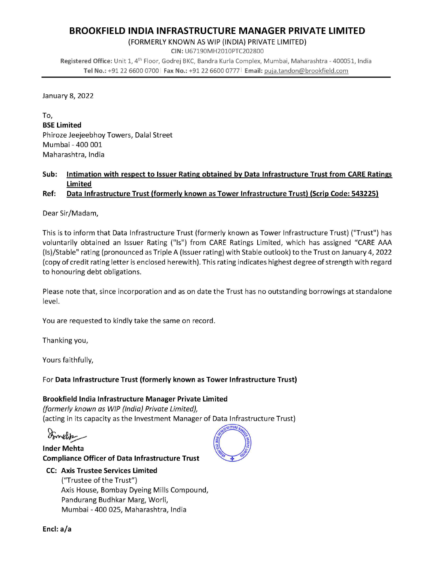# BROOKFIELD INDIA INFRASTRUCTURE MANAGER PRIVATE LIMITED

(FORMERLY KNOWN AS WIP (INDIA) PRIVATE LIMITED)

CIN: U67190MH2010PTC202800 Registered Office: Unit 1, 4th Floor, Godrej BKC, Bandra Kurla Complex, Mumbai, Maharashtra - 400051, India Tel No.: +91 22 6600 0700 | Fax No.: +91 22 6600 0777 | Email: puja.tandon@brookfield.com

January 8, 2022

To, BSE Limited Phiroze Jeejeebhoy Towers, Dalal Street Mumbai - 400 001 Maharashtra, India

### Sub: Intimation with respect to Issuer Rating obtained by Data Infrastructure Trust from CARE Ratings Limited

## Ref: Data Infrastructure Trust (formerly known as Tower Infrastructure Trust) (Scrip Code: 543225)

Dear Sir/Madam,

This is to inform that Data Infrastructure Trust (formerly known as Tower Infrastructure Trust) ("Trust") has voluntarily obtained an Issuer Rating ("Is") from CARE Ratings Limited, which has assigned "CARE AAA (1s)/Stable" rating (pronounced as Triple A (Issuer rating) with Stable outlook) to the Trust on January 4, 2022 (copy of credit rating letter is enclosed herewith). This rating indicates highest degree of strength with regard to honouring debt obligations.

Please note that, since incorporation and as on date the Trust has no outstanding borrowings at standalone level.

You are requested to kindly take the same on record.

Thanking you,

Yours faithfully,

For Data Infrastructure Trust (formerly known as Tower Infrastructure Trust)

### Brookfield India Infrastructure Manager Private Limited

(formerly known as WIP (India) Private Limited), (acting in its capacity as the Investment Manager of Data Infrastructure Trust)

Formelia

Inder Mehta Compliance Officer of Data Infrastructure Trust

## CC: Axis Trustee Services Limited

("Trustee of the Trust") Axis House, Bombay Dyeing Mills Compound, Pandurang Budhkar Marg, Worli, Mumbai - 400 025, Maharashtra, India